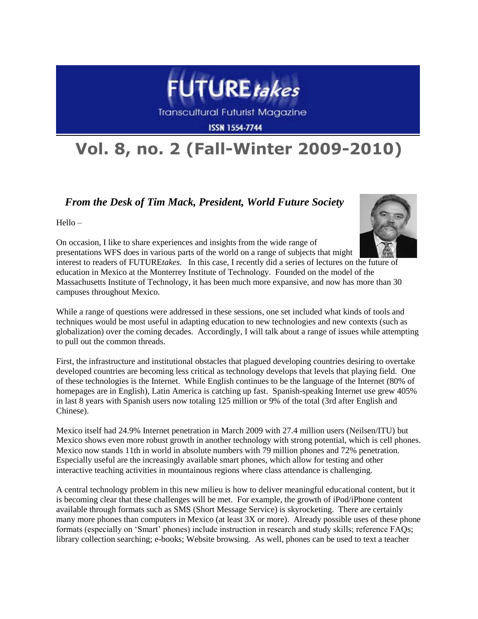

**Transcultural Futurist Magazine** 

**ISSN 1554-7744** 

## **Vol. 8, no. 2 (Fall-Winter 2009-2010)**

## *From the Desk of Tim Mack, President, World Future Society*

Hello –



On occasion, I like to share experiences and insights from the wide range of presentations WFS does in various parts of the world on a range of subjects that might interest to readers of FUTURE*takes*. In this case, I recently did a series of lectures on the future of education in Mexico at the Monterrey Institute of Technology. Founded on the model of the Massachusetts Institute of Technology, it has been much more expansive, and now has more than 30 campuses throughout Mexico.

While a range of questions were addressed in these sessions, one set included what kinds of tools and techniques would be most useful in adapting education to new technologies and new contexts (such as globalization) over the coming decades. Accordingly, I will talk about a range of issues while attempting to pull out the common threads.

First, the infrastructure and institutional obstacles that plagued developing countries desiring to overtake developed countries are becoming less critical as technology develops that levels that playing field. One of these technologies is the Internet. While English continues to be the language of the Internet (80% of homepages are in English), Latin America is catching up fast. Spanish-speaking Internet use grew 405% in last 8 years with Spanish users now totaling 125 million or 9% of the total (3rd after English and Chinese).

Mexico itself had 24.9% Internet penetration in March 2009 with 27.4 million users (Neilsen/ITU) but Mexico shows even more robust growth in another technology with strong potential, which is cell phones. Mexico now stands 11th in world in absolute numbers with 79 million phones and 72% penetration. Especially useful are the increasingly available smart phones, which allow for testing and other interactive teaching activities in mountainous regions where class attendance is challenging.

A central technology problem in this new milieu is how to deliver meaningful educational content, but it is becoming clear that these challenges will be met. For example, the growth of iPod/iPhone content available through formats such as SMS (Short Message Service) is skyrocketing. There are certainly many more phones than computers in Mexico (at least 3X or more). Already possible uses of these phone formats (especially on "Smart" phones) include instruction in research and study skills; reference FAQs; library collection searching; e-books; Website browsing. As well, phones can be used to text a teacher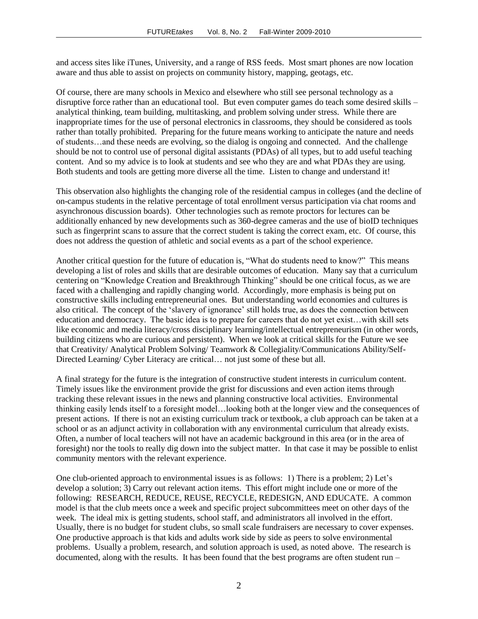and access sites like iTunes, University, and a range of RSS feeds. Most smart phones are now location aware and thus able to assist on projects on community history, mapping, geotags, etc.

Of course, there are many schools in Mexico and elsewhere who still see personal technology as a disruptive force rather than an educational tool. But even computer games do teach some desired skills – analytical thinking, team building, multitasking, and problem solving under stress. While there are inappropriate times for the use of personal electronics in classrooms, they should be considered as tools rather than totally prohibited. Preparing for the future means working to anticipate the nature and needs of students…and these needs are evolving, so the dialog is ongoing and connected. And the challenge should be not to control use of personal digital assistants (PDAs) of all types, but to add useful teaching content. And so my advice is to look at students and see who they are and what PDAs they are using. Both students and tools are getting more diverse all the time. Listen to change and understand it!

This observation also highlights the changing role of the residential campus in colleges (and the decline of on-campus students in the relative percentage of total enrollment versus participation via chat rooms and asynchronous discussion boards). Other technologies such as remote proctors for lectures can be additionally enhanced by new developments such as 360-degree cameras and the use of bioID techniques such as fingerprint scans to assure that the correct student is taking the correct exam, etc. Of course, this does not address the question of athletic and social events as a part of the school experience.

Another critical question for the future of education is, "What do students need to know?" This means developing a list of roles and skills that are desirable outcomes of education. Many say that a curriculum centering on "Knowledge Creation and Breakthrough Thinking" should be one critical focus, as we are faced with a challenging and rapidly changing world. Accordingly, more emphasis is being put on constructive skills including entrepreneurial ones. But understanding world economies and cultures is also critical. The concept of the "slavery of ignorance" still holds true, as does the connection between education and democracy. The basic idea is to prepare for careers that do not yet exist…with skill sets like economic and media literacy/cross disciplinary learning/intellectual entrepreneurism (in other words, building citizens who are curious and persistent). When we look at critical skills for the Future we see that Creativity/ Analytical Problem Solving/ Teamwork & Collegiality/Communications Ability/Self-Directed Learning/ Cyber Literacy are critical… not just some of these but all.

A final strategy for the future is the integration of constructive student interests in curriculum content. Timely issues like the environment provide the grist for discussions and even action items through tracking these relevant issues in the news and planning constructive local activities. Environmental thinking easily lends itself to a foresight model…looking both at the longer view and the consequences of present actions. If there is not an existing curriculum track or textbook, a club approach can be taken at a school or as an adjunct activity in collaboration with any environmental curriculum that already exists. Often, a number of local teachers will not have an academic background in this area (or in the area of foresight) nor the tools to really dig down into the subject matter. In that case it may be possible to enlist community mentors with the relevant experience.

One club-oriented approach to environmental issues is as follows: 1) There is a problem; 2) Let"s develop a solution; 3) Carry out relevant action items. This effort might include one or more of the following: RESEARCH, REDUCE, REUSE, RECYCLE, REDESIGN, AND EDUCATE. A common model is that the club meets once a week and specific project subcommittees meet on other days of the week. The ideal mix is getting students, school staff, and administrators all involved in the effort. Usually, there is no budget for student clubs, so small scale fundraisers are necessary to cover expenses. One productive approach is that kids and adults work side by side as peers to solve environmental problems. Usually a problem, research, and solution approach is used, as noted above. The research is documented, along with the results. It has been found that the best programs are often student run –